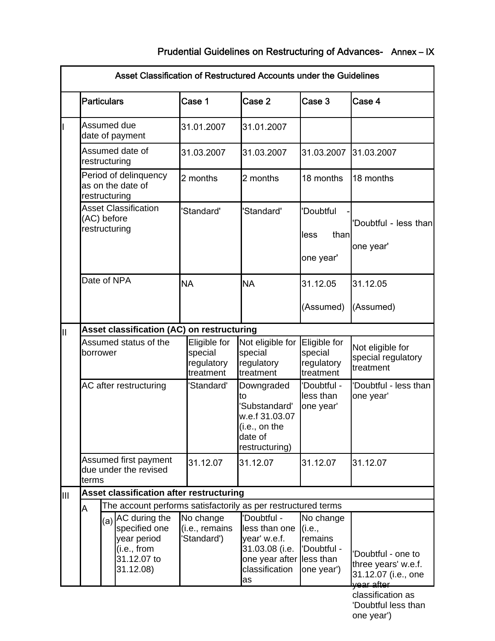|    |                                                             |                                                                                                | Asset Classification of Restructured Accounts under the Guidelines |  |                                                    |                                                                                                         |                                                                          |                                                                   |  |  |  |  |
|----|-------------------------------------------------------------|------------------------------------------------------------------------------------------------|--------------------------------------------------------------------|--|----------------------------------------------------|---------------------------------------------------------------------------------------------------------|--------------------------------------------------------------------------|-------------------------------------------------------------------|--|--|--|--|
|    | <b>Particulars</b>                                          |                                                                                                |                                                                    |  | Case 1                                             | Case 2                                                                                                  | Case 3                                                                   | Case 4                                                            |  |  |  |  |
|    | Assumed due<br>date of payment                              |                                                                                                |                                                                    |  | 31.01.2007                                         | 31.01.2007                                                                                              |                                                                          |                                                                   |  |  |  |  |
|    | Assumed date of<br>restructuring                            |                                                                                                |                                                                    |  | 31.03.2007                                         | 31.03.2007                                                                                              | 31.03.2007                                                               | 31.03.2007                                                        |  |  |  |  |
|    | Period of delinquency<br>as on the date of<br>restructuring |                                                                                                |                                                                    |  | 2 months                                           | 2 months                                                                                                | 18 months                                                                | 18 months                                                         |  |  |  |  |
|    | <b>Asset Classification</b><br>(AC) before<br>restructuring |                                                                                                |                                                                    |  | 'Standard'                                         | 'Standard'                                                                                              | 'Doubtful<br>than<br>less<br>one year'                                   | 'Doubtful - less than<br>one year'                                |  |  |  |  |
|    | Date of NPA<br><b>NA</b>                                    |                                                                                                |                                                                    |  |                                                    | <b>NA</b>                                                                                               | 31.12.05<br>(Assumed)                                                    | 31.12.05<br>(Assumed)                                             |  |  |  |  |
|    | Asset classification (AC) on restructuring                  |                                                                                                |                                                                    |  |                                                    |                                                                                                         |                                                                          |                                                                   |  |  |  |  |
| Ш  | borrower                                                    |                                                                                                | Assumed status of the                                              |  | Eligible for<br>special<br>regulatory<br>treatment | Not eligible for<br>special<br>regulatory<br>treatment                                                  | Eligible for<br>special<br>regulatory<br>treatment                       | Not eligible for<br>special regulatory<br>treatment               |  |  |  |  |
|    | AC after restructuring                                      |                                                                                                |                                                                    |  | 'Standard'                                         | Downgraded<br>to<br>'Substandard'<br>w.e.f 31.03.07<br>(i.e., on the<br>date of<br>restructuring)       | 'Doubtful -<br>less than<br>one year'                                    | 'Doubtful - less than<br>one year'                                |  |  |  |  |
|    | Assumed first payment<br>due under the revised<br>terms     |                                                                                                |                                                                    |  | 31.12.07                                           | 31.12.07                                                                                                | 31.12.07                                                                 | 31.12.07                                                          |  |  |  |  |
| IШ |                                                             |                                                                                                | Asset classification after restructuring                           |  |                                                    |                                                                                                         |                                                                          |                                                                   |  |  |  |  |
|    | A                                                           |                                                                                                | The account performs satisfactorily as per restructured terms      |  |                                                    |                                                                                                         |                                                                          |                                                                   |  |  |  |  |
|    |                                                             | $(a)$ AC during the<br>specified one<br>year period<br>(i.e., from<br>31.12.07 to<br>31.12.08) |                                                                    |  | No change<br>(i.e., remains<br>Standard')          | Doubtful -<br>less than one<br>year' w.e.f.<br>31.03.08 (i.e.<br>one year after<br>classification<br>as | No change<br>(i.e.,<br>remains<br>'Doubtful -<br>less than<br>one year') | 'Doubtful - one to<br>three years' w.e.f.<br>31.12.07 (i.e., one  |  |  |  |  |
|    |                                                             |                                                                                                |                                                                    |  |                                                    |                                                                                                         |                                                                          | <del>year after</del><br>classification as<br>'Doubtful less than |  |  |  |  |

one year')